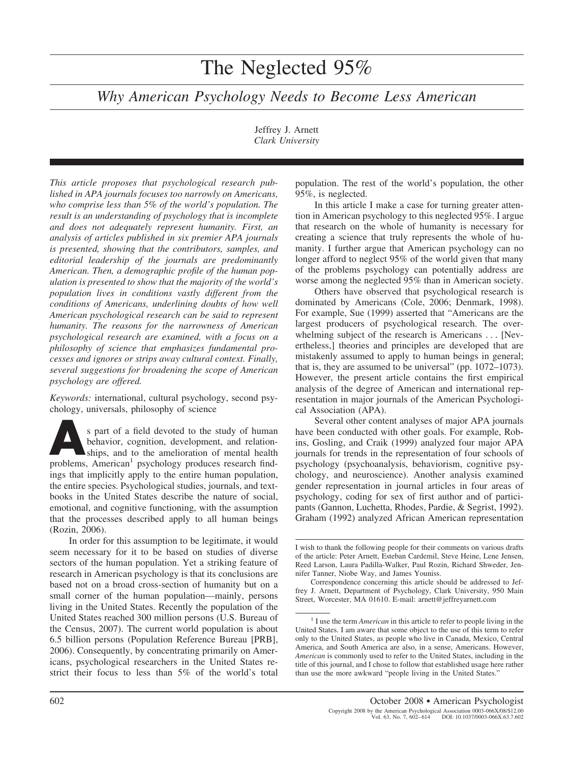# The Neglected 95%

*Why American Psychology Needs to Become Less American*

Jeffrey J. Arnett *Clark University*

*This article proposes that psychological research published in APA journals focuses too narrowly on Americans, who comprise less than 5% of the world's population. The result is an understanding of psychology that is incomplete and does not adequately represent humanity. First, an analysis of articles published in six premier APA journals is presented, showing that the contributors, samples, and editorial leadership of the journals are predominantly American. Then, a demographic profile of the human population is presented to show that the majority of the world's population lives in conditions vastly different from the conditions of Americans, underlining doubts of how well American psychological research can be said to represent humanity. The reasons for the narrowness of American psychological research are examined, with a focus on a philosophy of science that emphasizes fundamental processes and ignores or strips away cultural context. Finally, several suggestions for broadening the scope of American psychology are offered.*

*Keywords:* international, cultural psychology, second psychology, universals, philosophy of science

**A**s part of a field devoted to the study of human behavior, cognition, development, and relationships, and to the amelioration of mental health problems, American<sup>1</sup> psychology produces research findings that implicitly apply to the entire human population, the entire species. Psychological studies, journals, and textbooks in the United States describe the nature of social, emotional, and cognitive functioning, with the assumption that the processes described apply to all human beings (Rozin, 2006).

In order for this assumption to be legitimate, it would seem necessary for it to be based on studies of diverse sectors of the human population. Yet a striking feature of research in American psychology is that its conclusions are based not on a broad cross-section of humanity but on a small corner of the human population—mainly, persons living in the United States. Recently the population of the United States reached 300 million persons (U.S. Bureau of the Census, 2007). The current world population is about 6.5 billion persons (Population Reference Bureau [PRB], 2006). Consequently, by concentrating primarily on Americans, psychological researchers in the United States restrict their focus to less than 5% of the world's total

population. The rest of the world's population, the other 95%, is neglected.

In this article I make a case for turning greater attention in American psychology to this neglected 95%. I argue that research on the whole of humanity is necessary for creating a science that truly represents the whole of humanity. I further argue that American psychology can no longer afford to neglect 95% of the world given that many of the problems psychology can potentially address are worse among the neglected 95% than in American society.

Others have observed that psychological research is dominated by Americans (Cole, 2006; Denmark, 1998). For example, Sue (1999) asserted that "Americans are the largest producers of psychological research. The overwhelming subject of the research is Americans . . . [Nevertheless,] theories and principles are developed that are mistakenly assumed to apply to human beings in general; that is, they are assumed to be universal" (pp. 1072–1073). However, the present article contains the first empirical analysis of the degree of American and international representation in major journals of the American Psychological Association (APA).

Several other content analyses of major APA journals have been conducted with other goals. For example, Robins, Gosling, and Craik (1999) analyzed four major APA journals for trends in the representation of four schools of psychology (psychoanalysis, behaviorism, cognitive psychology, and neuroscience). Another analysis examined gender representation in journal articles in four areas of psychology, coding for sex of first author and of participants (Gannon, Luchetta, Rhodes, Pardie, & Segrist, 1992). Graham (1992) analyzed African American representation

Correspondence concerning this article should be addressed to Jeffrey J. Arnett, Department of Psychology, Clark University, 950 Main Street, Worcester, MA 01610. E-mail: arnett@jeffreyarnett.com

I wish to thank the following people for their comments on various drafts of the article: Peter Arnett, Esteban Cardemil, Steve Heine, Lene Jensen, Reed Larson, Laura Padilla-Walker, Paul Rozin, Richard Shweder, Jennifer Tanner, Niobe Way, and James Youniss.

<sup>&</sup>lt;sup>1</sup> I use the term *American* in this article to refer to people living in the United States. I am aware that some object to the use of this term to refer only to the United States, as people who live in Canada, Mexico, Central America, and South America are also, in a sense, Americans. However, *American* is commonly used to refer to the United States, including in the title of this journal, and I chose to follow that established usage here rather than use the more awkward "people living in the United States."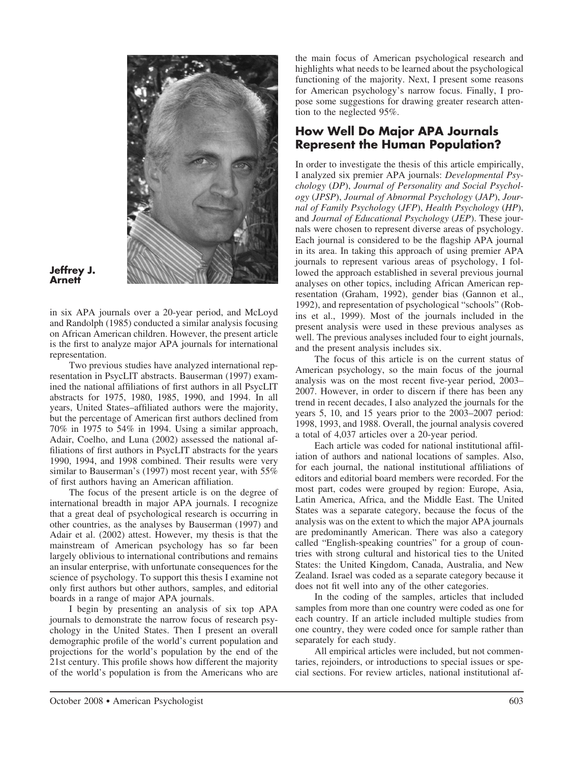

#### **Jeffrey J. Arnett**

in six APA journals over a 20-year period, and McLoyd and Randolph (1985) conducted a similar analysis focusing on African American children. However, the present article is the first to analyze major APA journals for international representation.

Two previous studies have analyzed international representation in PsycLIT abstracts. Bauserman (1997) examined the national affiliations of first authors in all PsycLIT abstracts for 1975, 1980, 1985, 1990, and 1994. In all years, United States–affiliated authors were the majority, but the percentage of American first authors declined from 70% in 1975 to 54% in 1994. Using a similar approach, Adair, Coelho, and Luna (2002) assessed the national affiliations of first authors in PsycLIT abstracts for the years 1990, 1994, and 1998 combined. Their results were very similar to Bauserman's (1997) most recent year, with 55% of first authors having an American affiliation.

The focus of the present article is on the degree of international breadth in major APA journals. I recognize that a great deal of psychological research is occurring in other countries, as the analyses by Bauserman (1997) and Adair et al. (2002) attest. However, my thesis is that the mainstream of American psychology has so far been largely oblivious to international contributions and remains an insular enterprise, with unfortunate consequences for the science of psychology. To support this thesis I examine not only first authors but other authors, samples, and editorial boards in a range of major APA journals.

I begin by presenting an analysis of six top APA journals to demonstrate the narrow focus of research psychology in the United States. Then I present an overall demographic profile of the world's current population and projections for the world's population by the end of the 21st century. This profile shows how different the majority of the world's population is from the Americans who are the main focus of American psychological research and highlights what needs to be learned about the psychological functioning of the majority. Next, I present some reasons for American psychology's narrow focus. Finally, I propose some suggestions for drawing greater research attention to the neglected 95%.

### **How Well Do Major APA Journals Represent the Human Population?**

In order to investigate the thesis of this article empirically, I analyzed six premier APA journals: *Developmental Psychology* (*DP*), *Journal of Personality and Social Psychology* (*JPSP*), *Journal of Abnormal Psychology* (*JAP*), *Journal of Family Psychology* (*JFP*), *Health Psychology* (*HP*), and *Journal of Educational Psychology* (*JEP*). These journals were chosen to represent diverse areas of psychology. Each journal is considered to be the flagship APA journal in its area. In taking this approach of using premier APA journals to represent various areas of psychology, I followed the approach established in several previous journal analyses on other topics, including African American representation (Graham, 1992), gender bias (Gannon et al., 1992), and representation of psychological "schools" (Robins et al., 1999). Most of the journals included in the present analysis were used in these previous analyses as well. The previous analyses included four to eight journals, and the present analysis includes six.

The focus of this article is on the current status of American psychology, so the main focus of the journal analysis was on the most recent five-year period, 2003– 2007. However, in order to discern if there has been any trend in recent decades, I also analyzed the journals for the years 5, 10, and 15 years prior to the 2003–2007 period: 1998, 1993, and 1988. Overall, the journal analysis covered a total of 4,037 articles over a 20-year period.

Each article was coded for national institutional affiliation of authors and national locations of samples. Also, for each journal, the national institutional affiliations of editors and editorial board members were recorded. For the most part, codes were grouped by region: Europe, Asia, Latin America, Africa, and the Middle East. The United States was a separate category, because the focus of the analysis was on the extent to which the major APA journals are predominantly American. There was also a category called "English-speaking countries" for a group of countries with strong cultural and historical ties to the United States: the United Kingdom, Canada, Australia, and New Zealand. Israel was coded as a separate category because it does not fit well into any of the other categories.

In the coding of the samples, articles that included samples from more than one country were coded as one for each country. If an article included multiple studies from one country, they were coded once for sample rather than separately for each study.

All empirical articles were included, but not commentaries, rejoinders, or introductions to special issues or special sections. For review articles, national institutional af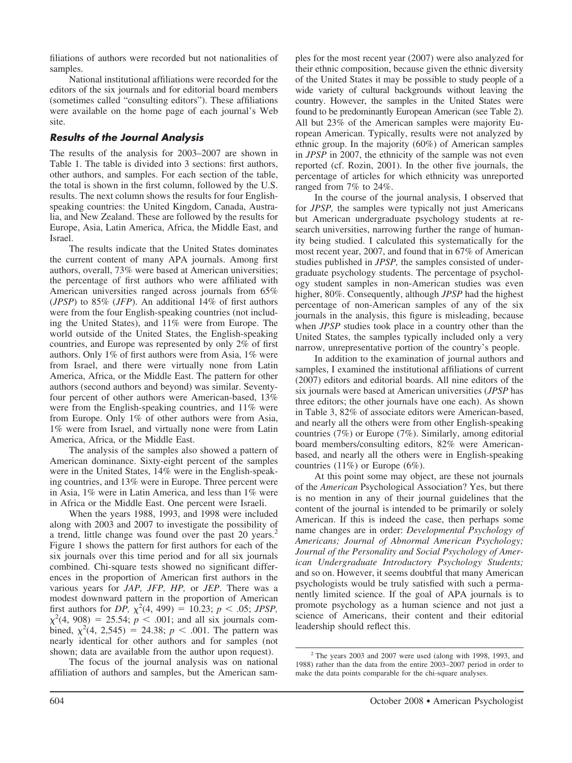filiations of authors were recorded but not nationalities of samples.

National institutional affiliations were recorded for the editors of the six journals and for editorial board members (sometimes called "consulting editors"). These affiliations were available on the home page of each journal's Web site.

### *Results of the Journal Analysis*

The results of the analysis for 2003–2007 are shown in Table 1. The table is divided into 3 sections: first authors, other authors, and samples. For each section of the table, the total is shown in the first column, followed by the U.S. results. The next column shows the results for four Englishspeaking countries: the United Kingdom, Canada, Australia, and New Zealand. These are followed by the results for Europe, Asia, Latin America, Africa, the Middle East, and Israel.

The results indicate that the United States dominates the current content of many APA journals. Among first authors, overall, 73% were based at American universities; the percentage of first authors who were affiliated with American universities ranged across journals from 65% (*JPSP*) to 85% (*JFP*). An additional 14% of first authors were from the four English-speaking countries (not including the United States), and 11% were from Europe. The world outside of the United States, the English-speaking countries, and Europe was represented by only 2% of first authors. Only 1% of first authors were from Asia, 1% were from Israel, and there were virtually none from Latin America, Africa, or the Middle East. The pattern for other authors (second authors and beyond) was similar. Seventyfour percent of other authors were American-based, 13% were from the English-speaking countries, and 11% were from Europe. Only 1% of other authors were from Asia, 1% were from Israel, and virtually none were from Latin America, Africa, or the Middle East.

The analysis of the samples also showed a pattern of American dominance. Sixty-eight percent of the samples were in the United States, 14% were in the English-speaking countries, and 13% were in Europe. Three percent were in Asia, 1% were in Latin America, and less than 1% were in Africa or the Middle East. One percent were Israeli.

When the years 1988, 1993, and 1998 were included along with 2003 and 2007 to investigate the possibility of a trend, little change was found over the past 20 years.<sup>2</sup> Figure 1 shows the pattern for first authors for each of the six journals over this time period and for all six journals combined. Chi-square tests showed no significant differences in the proportion of American first authors in the various years for *JAP, JFP, HP,* or *JEP*. There was a modest downward pattern in the proportion of American first authors for *DP*,  $\chi^2(4, 499) = 10.23$ ;  $p < .05$ ; *JPSP*,  $\chi^2(4, 908) = 25.54$ ;  $p < .001$ ; and all six journals combined,  $\chi^2(4, 2.545) = 24.38$ ;  $p < .001$ . The pattern was nearly identical for other authors and for samples (not shown; data are available from the author upon request).

The focus of the journal analysis was on national affiliation of authors and samples, but the American samples for the most recent year (2007) were also analyzed for their ethnic composition, because given the ethnic diversity of the United States it may be possible to study people of a wide variety of cultural backgrounds without leaving the country. However, the samples in the United States were found to be predominantly European American (see Table 2). All but 23% of the American samples were majority European American. Typically, results were not analyzed by ethnic group. In the majority (60%) of American samples in *JPSP* in 2007, the ethnicity of the sample was not even reported (cf. Rozin, 2001). In the other five journals, the percentage of articles for which ethnicity was unreported ranged from 7% to 24%.

In the course of the journal analysis, I observed that for *JPSP,* the samples were typically not just Americans but American undergraduate psychology students at research universities, narrowing further the range of humanity being studied. I calculated this systematically for the most recent year, 2007, and found that in 67% of American studies published in *JPSP,* the samples consisted of undergraduate psychology students. The percentage of psychology student samples in non-American studies was even higher, 80%. Consequently, although *JPSP* had the highest percentage of non-American samples of any of the six journals in the analysis, this figure is misleading, because when *JPSP* studies took place in a country other than the United States, the samples typically included only a very narrow, unrepresentative portion of the country's people.

In addition to the examination of journal authors and samples, I examined the institutional affiliations of current (2007) editors and editorial boards. All nine editors of the six journals were based at American universities (*JPSP* has three editors; the other journals have one each). As shown in Table 3, 82% of associate editors were American-based, and nearly all the others were from other English-speaking countries (7%) or Europe (7%). Similarly, among editorial board members/consulting editors, 82% were Americanbased, and nearly all the others were in English-speaking countries  $(11\%)$  or Europe  $(6\%)$ .

At this point some may object, are these not journals of the *American* Psychological Association? Yes, but there is no mention in any of their journal guidelines that the content of the journal is intended to be primarily or solely American. If this is indeed the case, then perhaps some name changes are in order: *Developmental Psychology of Americans; Journal of Abnormal American Psychology; Journal of the Personality and Social Psychology of American Undergraduate Introductory Psychology Students;* and so on. However, it seems doubtful that many American psychologists would be truly satisfied with such a permanently limited science. If the goal of APA journals is to promote psychology as a human science and not just a science of Americans, their content and their editorial leadership should reflect this.

 $2$ <sup>2</sup> The years 2003 and 2007 were used (along with 1998, 1993, and 1988) rather than the data from the entire 2003–2007 period in order to make the data points comparable for the chi-square analyses.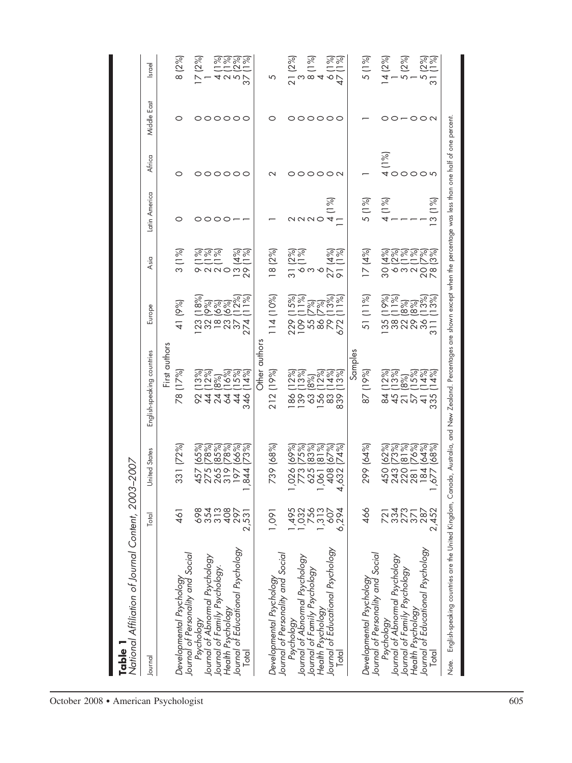| National Affiliation of Journal Content, 2003–2007<br>–<br>Diona                                                                                                              |                |                                                   |                                       |                                            |                                                                           |                            |                    |             |                                     |
|-------------------------------------------------------------------------------------------------------------------------------------------------------------------------------|----------------|---------------------------------------------------|---------------------------------------|--------------------------------------------|---------------------------------------------------------------------------|----------------------------|--------------------|-------------|-------------------------------------|
| Journal                                                                                                                                                                       | Total          | United States                                     | English-speaking countries            | Europe                                     | Asia                                                                      | Latin America              | Africa             | Middle East | Israel                              |
|                                                                                                                                                                               |                |                                                   | First authors                         |                                            |                                                                           |                            |                    |             |                                     |
| Journal of Personality and Social<br>Developmental Psychology                                                                                                                 | 461            | (72%)<br>331                                      | (17%)<br>$\overline{78}$              | 41 (9%)                                    | $(1\%)$<br>က                                                              | O                          | 0                  | O           | 8(2%)                               |
| Psychology                                                                                                                                                                    |                |                                                   | 29                                    | (18%)                                      |                                                                           |                            |                    |             | (2%)<br>$\overline{\phantom{0}}$    |
| Journal of Abnormal Psychology                                                                                                                                                |                |                                                   | $\frac{13\%}{12\%}$                   | $\frac{1}{880}$<br>3283<br>231             | 222<br>222<br>222                                                         |                            |                    |             |                                     |
| Journal of Family Psychology.                                                                                                                                                 |                |                                                   |                                       |                                            |                                                                           |                            |                    |             |                                     |
| Health Psychology<br>Journal of Educational Psychology                                                                                                                        |                | 929229<br>28289<br>28292<br>457<br>2765<br>422597 | $16\%$                                | $\overline{65}$                            |                                                                           | 0000-                      |                    |             |                                     |
| <b>Iotal</b>                                                                                                                                                                  |                | $[73\%]$<br>.844                                  | (15%)<br>14%<br>346<br>$\overline{4}$ | $\frac{28}{180}$<br>$\overline{37}$<br>274 | (4%<br>$\frac{1}{2}$<br>$\circ$ $\sim$ $\sim$ $\sim$ $\sim$ $\sim$ $\sim$ |                            | 000000             | 000000      | 2232<br>2232<br>40000               |
|                                                                                                                                                                               |                |                                                   | Other authors                         |                                            |                                                                           |                            |                    |             |                                     |
| Developmental Psychology                                                                                                                                                      | 1,091          | 739 (68%)                                         | 212 (19%)                             | 114 (10%)                                  | 18(2%)                                                                    |                            | $\scriptstyle\sim$ | 0           | ഗ                                   |
| Journal of Personality and Social<br>Psychology                                                                                                                               |                | (69%)                                             | $2\%$                                 | 5%<br>229                                  |                                                                           |                            |                    |             | 21(2%)                              |
| Journal of Abnormal Psychology                                                                                                                                                |                | 026<br>073<br>625                                 | $\frac{13\%}{13\%}$                   | $\frac{178}{780}$<br>05382                 | $31(2%)$<br>$6(1%)$                                                       | ぺく20                       |                    |             | $\omega \infty$                     |
| Journal of Family Psychology                                                                                                                                                  |                |                                                   |                                       |                                            | $\circ$ $\circ$                                                           |                            |                    |             | $(1\%)$                             |
| Health Psychology                                                                                                                                                             |                | 061                                               | $ 2\% $                               | 7%)                                        |                                                                           |                            |                    |             |                                     |
| Journal of Educational Psychology<br>Total                                                                                                                                    | 607<br>6,294   | 788277<br>28788<br>28788<br>408<br>632<br>4       | $4\%$<br>$3\%$                        | $\frac{28}{18}$<br>672                     | (४%)<br>(१९८<br>$\frac{27}{9}$                                            | <u>ा</u><br> <br> <br>4.   | 00000N             | 000000      | $\frac{180}{180}$<br>$rac{6}{47}$   |
|                                                                                                                                                                               |                |                                                   | Samples                               |                                            |                                                                           |                            |                    |             |                                     |
| Developmental Psychology                                                                                                                                                      | 466            | 299 (64%)                                         | (19%)<br>$\overline{8}$               | (11%)<br>51                                | 17(4%                                                                     | 5 (1%)                     |                    |             | 5 (1%)                              |
| Journal of Personality and Social<br>Psychology                                                                                                                               |                | (62%)<br>450                                      | $2\%$                                 | 9%                                         |                                                                           | $(1\%)$<br>$\frac{1}{4}$   |                    |             | 14(2%)                              |
| Journal of Abnormal Psychology                                                                                                                                                | 73275<br>23275 |                                                   | 84257                                 | 5<br>3828<br>1                             | 3<br>Rasses<br>Sall<br>Sall<br>Sall                                       |                            | त<br>न<br>७००००    | 00–00N      |                                     |
| Journal of Family Psychology                                                                                                                                                  |                | 7328<br>Nelso<br>Nelso<br>243<br>220<br>281       | (13%)<br>(8%)                         | $\frac{(11%)}{(8%)}$                       |                                                                           |                            |                    |             | 5(2%)                               |
| Health Psychology                                                                                                                                                             |                |                                                   | $5\%$                                 |                                            |                                                                           |                            |                    |             |                                     |
| Journal of Educational Psychology                                                                                                                                             | 287            | (64%)<br>184                                      | $4\%$<br>$\overline{4}$               | 3%<br>36                                   |                                                                           |                            |                    |             | $\binom{2\%}{1\%}$<br>$\frac{5}{3}$ |
| Total                                                                                                                                                                         | 2,452          | 68%<br>677                                        | $4\%$<br>335                          | 3%<br>ო                                    |                                                                           | (२०)<br>१<br>$\frac{1}{2}$ |                    |             |                                     |
| Note. English-specking counties are the United Kingdom, Canada, Australia, and New Zealand. Percentages are shown except when the percentage was than one half of one percent |                |                                                   |                                       |                                            |                                                                           |                            |                    |             |                                     |

**Table 1**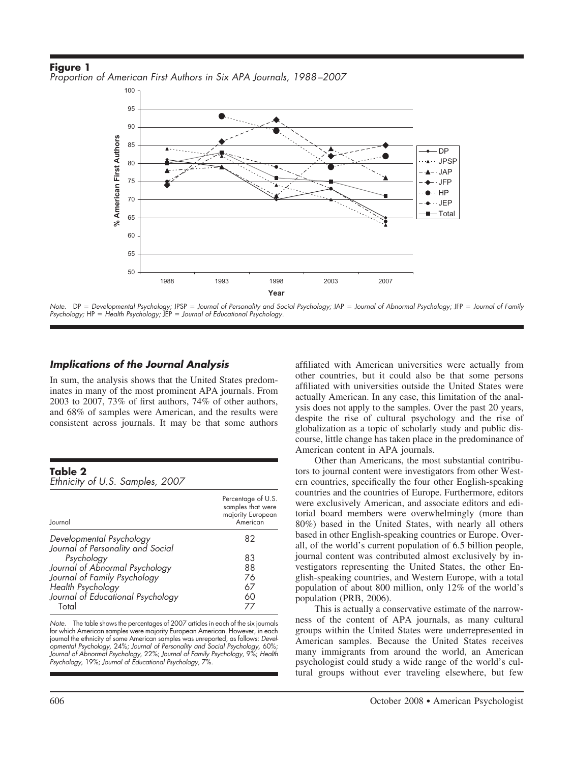**Figure 1** *Proportion of American First Authors in Six APA Journals, 1988 –2007*



*Note.* DP - *Developmental Psychology;* JPSP - *Journal of Personality and Social Psychology;* JAP - *Journal of Abnormal Psychology;* JFP - *Journal of Family* Psychology; HP = Health Psychology; JEP = Journal of Educational Psychology.

### *Implications of the Journal Analysis*

In sum, the analysis shows that the United States predominates in many of the most prominent APA journals. From 2003 to 2007, 73% of first authors, 74% of other authors, and 68% of samples were American, and the results were consistent across journals. It may be that some authors

| Table 2                         |  |
|---------------------------------|--|
| Ethnicity of U.S. Samples, 2007 |  |

| Journal                                                       | Percentage of U.S.<br>samples that were<br>majority European<br>American |
|---------------------------------------------------------------|--------------------------------------------------------------------------|
| Developmental Psychology<br>Journal of Personality and Social | 82                                                                       |
| Psychology                                                    | 83                                                                       |
| Journal of Abnormal Psychology                                | 88                                                                       |
| Journal of Family Psychology                                  | 76                                                                       |
| Health Psychology                                             | 67                                                                       |
| Journal of Educational Psychology                             | 60                                                                       |
| Total                                                         |                                                                          |

*Note.* The table shows the percentages of 2007 articles in each of the six journals for which American samples were majority European American. However, in each journal the ethnicity of some American samples was unreported, as follows: *Developmental Psychology,* 24%; *Journal of Personality and Social Psychology,* 60%; *Journal of Abnormal Psychology,* 22%; *Journal of Family Psychology,* 9%; *Health Psychology,* 19%; *Journal of Educational Psychology,* 7%.

affiliated with American universities were actually from other countries, but it could also be that some persons affiliated with universities outside the United States were actually American. In any case, this limitation of the analysis does not apply to the samples. Over the past 20 years, despite the rise of cultural psychology and the rise of globalization as a topic of scholarly study and public discourse, little change has taken place in the predominance of American content in APA journals.

Other than Americans, the most substantial contributors to journal content were investigators from other Western countries, specifically the four other English-speaking countries and the countries of Europe. Furthermore, editors were exclusively American, and associate editors and editorial board members were overwhelmingly (more than 80%) based in the United States, with nearly all others based in other English-speaking countries or Europe. Overall, of the world's current population of 6.5 billion people, journal content was contributed almost exclusively by investigators representing the United States, the other English-speaking countries, and Western Europe, with a total population of about 800 million, only 12% of the world's population (PRB, 2006).

This is actually a conservative estimate of the narrowness of the content of APA journals, as many cultural groups within the United States were underrepresented in American samples. Because the United States receives many immigrants from around the world, an American psychologist could study a wide range of the world's cultural groups without ever traveling elsewhere, but few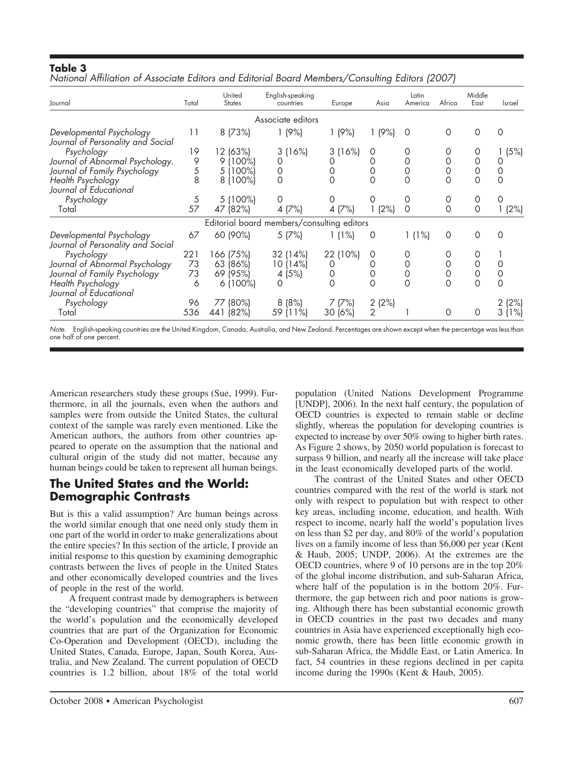### **Table 3**

*National Affiliation of Associate Editors and Editorial Board Members/Consulting Editors (2007)*

| Journal                                                       | Total | United<br><b>States</b> | English-speaking<br>countries              | Europe   | Asia   | Latin<br>America | Africa   | Middle<br>East | <b>Israel</b> |
|---------------------------------------------------------------|-------|-------------------------|--------------------------------------------|----------|--------|------------------|----------|----------------|---------------|
|                                                               |       |                         | Associate editors                          |          |        |                  |          |                |               |
| Developmental Psychology<br>Journal of Personality and Social | 11    | 8 (73%)                 | 1(9%)                                      | 1(9%)    | 1 (9%) | 0                | $\Omega$ | 0              | Ω             |
| Psychology                                                    | 19    | 12 (63%)                | 3(16%)                                     | 3(16%)   | O      |                  |          |                | 1(5%)         |
| Journal of Abnormal Psychology.                               | 9     | $9(100\%)$              | O                                          | Ő        |        | 0                | 0        | 0              | O             |
| Journal of Family Psychology                                  | 5     | 5 (100%)                | 0                                          | 0        |        | 0                |          |                |               |
| Health Psychology                                             | 8     | 8 (100%)                | $\mathbf 0$                                |          |        | $\Omega$         |          | 0              | 0             |
| Journal of Educational                                        |       |                         |                                            |          |        |                  |          |                |               |
| Psychology                                                    | 5     | 5 (100%)                | 0                                          |          | 0      | 0                | Ő        | 0              | O)            |
| Total                                                         | 57    | 47 (82%)                | 4 (7%)                                     | 4 (7%)   | 1(2%)  | $\Omega$         | $\Omega$ | $\mathbf 0$    | 1(2%)         |
|                                                               |       |                         | Editorial board members/consulting editors |          |        |                  |          |                |               |
| Developmental Psychology<br>Journal of Personality and Social | 67    | 60 (90%)                | 5(7%)                                      | 1(1%)    | 0      | 1 (1%)           | $\Omega$ | 0              | Ω             |
| Psychology                                                    | 221   | 166 (75%)               | 32 (14%)                                   | 22 (10%) | 0      |                  |          |                |               |
| Journal of Abnormal Psychology                                | 73    | 63 (86%)                | 10(14%)                                    | O        | 0      | 0                | 0        |                |               |
| Journal of Family Psychology                                  | 73    | 69 (95%)                | 4(5%)                                      | 0        | 0      | 0                | 0        | 0              |               |
| Health Psychology                                             | 6     | $6(100\%)$              | O                                          | $\Omega$ | 0      | $\Omega$         | $\Omega$ | $\Omega$       | Ω             |
| Journal of Educational                                        |       |                         |                                            |          |        |                  |          |                |               |
| Psychology                                                    | 96    | 77 (80%)                | 8(8%)                                      | 7 (7%)   | 2(2%)  |                  |          |                | $2\%$         |
| Total                                                         | 536   | 441 (82%)               | 59 (11%)                                   | 30(6%)   | 2      |                  | $\Omega$ | 0              | 3 (1%)        |

*Note.* English-speaking countries are the United Kingdom, Canada, Australia, and New Zealand. Percentages are shown except when the percentage was less than one half of one percent.

American researchers study these groups (Sue, 1999). Furthermore, in all the journals, even when the authors and samples were from outside the United States, the cultural context of the sample was rarely even mentioned. Like the American authors, the authors from other countries appeared to operate on the assumption that the national and cultural origin of the study did not matter, because any human beings could be taken to represent all human beings.

### **The United States and the World: Demographic Contrasts**

But is this a valid assumption? Are human beings across the world similar enough that one need only study them in one part of the world in order to make generalizations about the entire species? In this section of the article, I provide an initial response to this question by examining demographic contrasts between the lives of people in the United States and other economically developed countries and the lives of people in the rest of the world.

A frequent contrast made by demographers is between the "developing countries" that comprise the majority of the world's population and the economically developed countries that are part of the Organization for Economic Co-Operation and Development (OECD), including the United States, Canada, Europe, Japan, South Korea, Australia, and New Zealand. The current population of OECD countries is 1.2 billion, about 18% of the total world population (United Nations Development Programme [UNDP], 2006). In the next half century, the population of OECD countries is expected to remain stable or decline slightly, whereas the population for developing countries is expected to increase by over 50% owing to higher birth rates. As Figure 2 shows, by 2050 world population is forecast to surpass 9 billion, and nearly all the increase will take place in the least economically developed parts of the world.

The contrast of the United States and other OECD countries compared with the rest of the world is stark not only with respect to population but with respect to other key areas, including income, education, and health. With respect to income, nearly half the world's population lives on less than \$2 per day, and 80% of the world's population lives on a family income of less than \$6,000 per year (Kent & Haub, 2005; UNDP, 2006). At the extremes are the OECD countries, where 9 of 10 persons are in the top 20% of the global income distribution, and sub-Saharan Africa, where half of the population is in the bottom 20%. Furthermore, the gap between rich and poor nations is growing. Although there has been substantial economic growth in OECD countries in the past two decades and many countries in Asia have experienced exceptionally high economic growth, there has been little economic growth in sub-Saharan Africa, the Middle East, or Latin America. In fact, 54 countries in these regions declined in per capita income during the 1990s (Kent & Haub, 2005).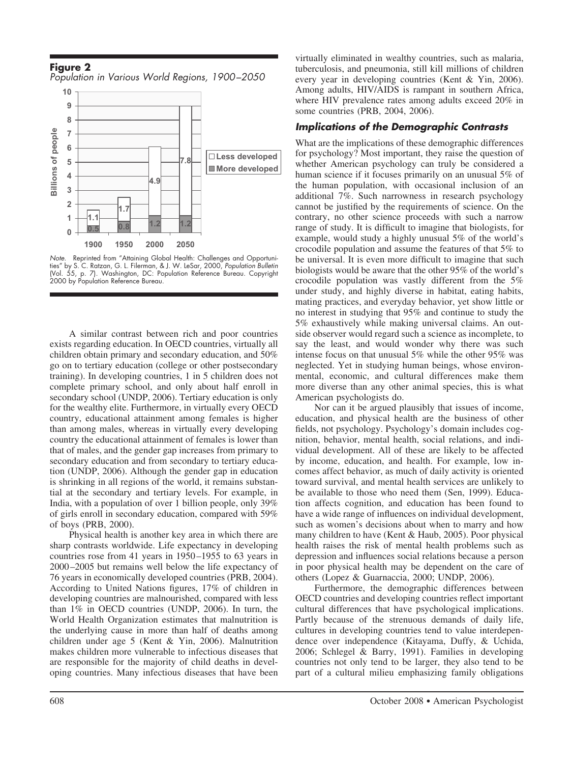

**1900 1950 2000 2050** *Note.* Reprinted from "Attaining Global Health: Challenges and Opportunities" by S. C. Ratzan, G. L. Filerman, & J. W. LeSar, 2000, *Population Bulletin* (Vol. 55, p. 7). Washington, DC: Population Reference Bureau. Copyright 2000 by Population Reference Bureau.

**0**

A similar contrast between rich and poor countries exists regarding education. In OECD countries, virtually all children obtain primary and secondary education, and 50% go on to tertiary education (college or other postsecondary training). In developing countries, 1 in 5 children does not complete primary school, and only about half enroll in secondary school (UNDP, 2006). Tertiary education is only for the wealthy elite. Furthermore, in virtually every OECD country, educational attainment among females is higher than among males, whereas in virtually every developing country the educational attainment of females is lower than that of males, and the gender gap increases from primary to secondary education and from secondary to tertiary education (UNDP, 2006). Although the gender gap in education is shrinking in all regions of the world, it remains substantial at the secondary and tertiary levels. For example, in India, with a population of over 1 billion people, only 39% of girls enroll in secondary education, compared with 59% of boys (PRB, 2000).

Physical health is another key area in which there are sharp contrasts worldwide. Life expectancy in developing countries rose from 41 years in 1950 –1955 to 63 years in 2000 –2005 but remains well below the life expectancy of 76 years in economically developed countries (PRB, 2004). According to United Nations figures, 17% of children in developing countries are malnourished, compared with less than 1% in OECD countries (UNDP, 2006). In turn, the World Health Organization estimates that malnutrition is the underlying cause in more than half of deaths among children under age 5 (Kent & Yin, 2006). Malnutrition makes children more vulnerable to infectious diseases that are responsible for the majority of child deaths in developing countries. Many infectious diseases that have been virtually eliminated in wealthy countries, such as malaria, tuberculosis, and pneumonia, still kill millions of children every year in developing countries (Kent & Yin, 2006). Among adults, HIV/AIDS is rampant in southern Africa, where HIV prevalence rates among adults exceed 20% in some countries (PRB, 2004, 2006).

### *Implications of the Demographic Contrasts*

What are the implications of these demographic differences for psychology? Most important, they raise the question of whether American psychology can truly be considered a human science if it focuses primarily on an unusual 5% of the human population, with occasional inclusion of an additional 7%. Such narrowness in research psychology cannot be justified by the requirements of science. On the contrary, no other science proceeds with such a narrow range of study. It is difficult to imagine that biologists, for example, would study a highly unusual 5% of the world's crocodile population and assume the features of that 5% to be universal. It is even more difficult to imagine that such biologists would be aware that the other 95% of the world's crocodile population was vastly different from the 5% under study, and highly diverse in habitat, eating habits, mating practices, and everyday behavior, yet show little or no interest in studying that 95% and continue to study the 5% exhaustively while making universal claims. An outside observer would regard such a science as incomplete, to say the least, and would wonder why there was such intense focus on that unusual 5% while the other 95% was neglected. Yet in studying human beings, whose environmental, economic, and cultural differences make them more diverse than any other animal species, this is what American psychologists do.

Nor can it be argued plausibly that issues of income, education, and physical health are the business of other fields, not psychology. Psychology's domain includes cognition, behavior, mental health, social relations, and individual development. All of these are likely to be affected by income, education, and health. For example, low incomes affect behavior, as much of daily activity is oriented toward survival, and mental health services are unlikely to be available to those who need them (Sen, 1999). Education affects cognition, and education has been found to have a wide range of influences on individual development, such as women's decisions about when to marry and how many children to have (Kent & Haub, 2005). Poor physical health raises the risk of mental health problems such as depression and influences social relations because a person in poor physical health may be dependent on the care of others (Lopez & Guarnaccia, 2000; UNDP, 2006).

Furthermore, the demographic differences between OECD countries and developing countries reflect important cultural differences that have psychological implications. Partly because of the strenuous demands of daily life, cultures in developing countries tend to value interdependence over independence (Kitayama, Duffy, & Uchida, 2006; Schlegel & Barry, 1991). Families in developing countries not only tend to be larger, they also tend to be part of a cultural milieu emphasizing family obligations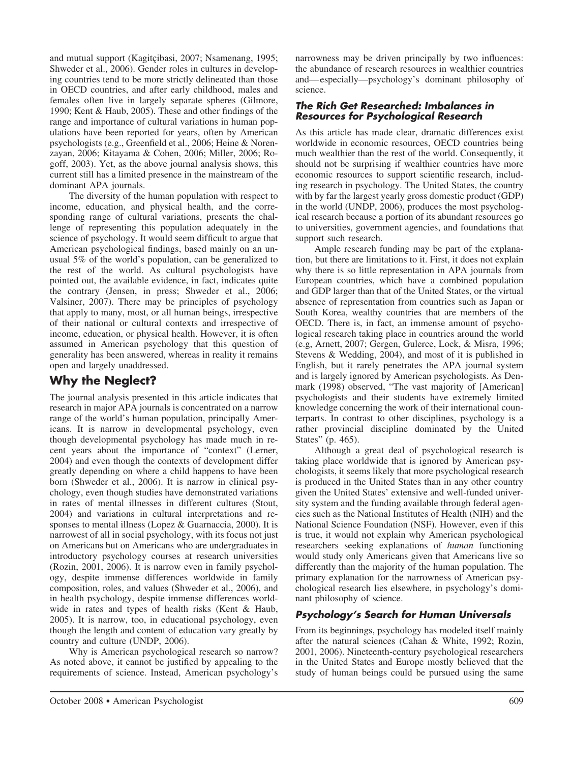and mutual support (Kagitçibasi, 2007; Nsamenang, 1995; Shweder et al., 2006). Gender roles in cultures in developing countries tend to be more strictly delineated than those in OECD countries, and after early childhood, males and females often live in largely separate spheres (Gilmore, 1990; Kent & Haub, 2005). These and other findings of the range and importance of cultural variations in human populations have been reported for years, often by American psychologists (e.g., Greenfield et al., 2006; Heine & Norenzayan, 2006; Kitayama & Cohen, 2006; Miller, 2006; Rogoff, 2003). Yet, as the above journal analysis shows, this current still has a limited presence in the mainstream of the dominant APA journals.

The diversity of the human population with respect to income, education, and physical health, and the corresponding range of cultural variations, presents the challenge of representing this population adequately in the science of psychology. It would seem difficult to argue that American psychological findings, based mainly on an unusual 5% of the world's population, can be generalized to the rest of the world. As cultural psychologists have pointed out, the available evidence, in fact, indicates quite the contrary (Jensen, in press; Shweder et al., 2006; Valsiner, 2007). There may be principles of psychology that apply to many, most, or all human beings, irrespective of their national or cultural contexts and irrespective of income, education, or physical health. However, it is often assumed in American psychology that this question of generality has been answered, whereas in reality it remains open and largely unaddressed.

# **Why the Neglect?**

The journal analysis presented in this article indicates that research in major APA journals is concentrated on a narrow range of the world's human population, principally Americans. It is narrow in developmental psychology, even though developmental psychology has made much in recent years about the importance of "context" (Lerner, 2004) and even though the contexts of development differ greatly depending on where a child happens to have been born (Shweder et al., 2006). It is narrow in clinical psychology, even though studies have demonstrated variations in rates of mental illnesses in different cultures (Stout, 2004) and variations in cultural interpretations and responses to mental illness (Lopez & Guarnaccia, 2000). It is narrowest of all in social psychology, with its focus not just on Americans but on Americans who are undergraduates in introductory psychology courses at research universities (Rozin, 2001, 2006). It is narrow even in family psychology, despite immense differences worldwide in family composition, roles, and values (Shweder et al., 2006), and in health psychology, despite immense differences worldwide in rates and types of health risks (Kent & Haub, 2005). It is narrow, too, in educational psychology, even though the length and content of education vary greatly by country and culture (UNDP, 2006).

Why is American psychological research so narrow? As noted above, it cannot be justified by appealing to the requirements of science. Instead, American psychology's narrowness may be driven principally by two influences: the abundance of research resources in wealthier countries and— especially—psychology's dominant philosophy of science.

### *The Rich Get Researched: Imbalances in Resources for Psychological Research*

As this article has made clear, dramatic differences exist worldwide in economic resources, OECD countries being much wealthier than the rest of the world. Consequently, it should not be surprising if wealthier countries have more economic resources to support scientific research, including research in psychology. The United States, the country with by far the largest yearly gross domestic product (GDP) in the world (UNDP, 2006), produces the most psychological research because a portion of its abundant resources go to universities, government agencies, and foundations that support such research.

Ample research funding may be part of the explanation, but there are limitations to it. First, it does not explain why there is so little representation in APA journals from European countries, which have a combined population and GDP larger than that of the United States, or the virtual absence of representation from countries such as Japan or South Korea, wealthy countries that are members of the OECD. There is, in fact, an immense amount of psychological research taking place in countries around the world (e.g, Arnett, 2007; Gergen, Gulerce, Lock, & Misra, 1996; Stevens & Wedding, 2004), and most of it is published in English, but it rarely penetrates the APA journal system and is largely ignored by American psychologists. As Denmark (1998) observed, "The vast majority of [American] psychologists and their students have extremely limited knowledge concerning the work of their international counterparts. In contrast to other disciplines, psychology is a rather provincial discipline dominated by the United States" (p. 465).

Although a great deal of psychological research is taking place worldwide that is ignored by American psychologists, it seems likely that more psychological research is produced in the United States than in any other country given the United States' extensive and well-funded university system and the funding available through federal agencies such as the National Institutes of Health (NIH) and the National Science Foundation (NSF). However, even if this is true, it would not explain why American psychological researchers seeking explanations of *human* functioning would study only Americans given that Americans live so differently than the majority of the human population. The primary explanation for the narrowness of American psychological research lies elsewhere, in psychology's dominant philosophy of science.

### *Psychology's Search for Human Universals*

From its beginnings, psychology has modeled itself mainly after the natural sciences (Cahan & White, 1992; Rozin, 2001, 2006). Nineteenth-century psychological researchers in the United States and Europe mostly believed that the study of human beings could be pursued using the same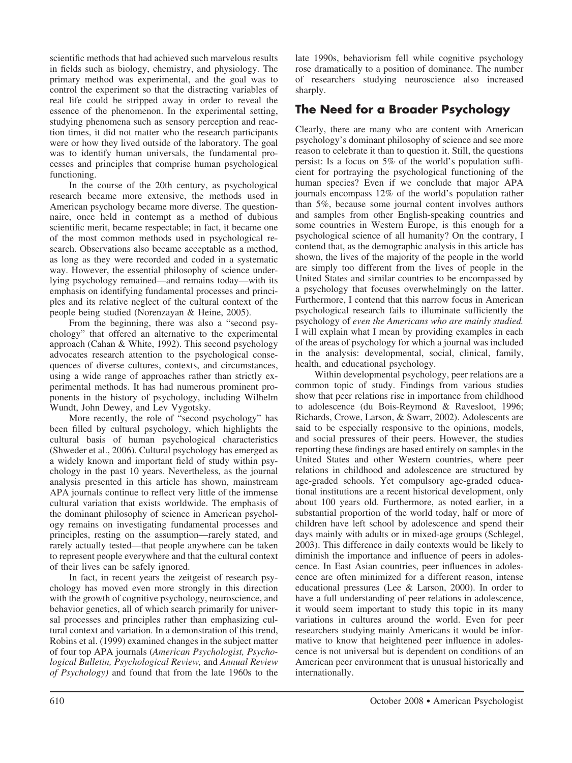scientific methods that had achieved such marvelous results in fields such as biology, chemistry, and physiology. The primary method was experimental, and the goal was to control the experiment so that the distracting variables of real life could be stripped away in order to reveal the essence of the phenomenon. In the experimental setting, studying phenomena such as sensory perception and reaction times, it did not matter who the research participants were or how they lived outside of the laboratory. The goal was to identify human universals, the fundamental processes and principles that comprise human psychological functioning.

In the course of the 20th century, as psychological research became more extensive, the methods used in American psychology became more diverse. The questionnaire, once held in contempt as a method of dubious scientific merit, became respectable; in fact, it became one of the most common methods used in psychological research. Observations also became acceptable as a method, as long as they were recorded and coded in a systematic way. However, the essential philosophy of science underlying psychology remained—and remains today—with its emphasis on identifying fundamental processes and principles and its relative neglect of the cultural context of the people being studied (Norenzayan & Heine, 2005).

From the beginning, there was also a "second psychology" that offered an alternative to the experimental approach (Cahan & White, 1992). This second psychology advocates research attention to the psychological consequences of diverse cultures, contexts, and circumstances, using a wide range of approaches rather than strictly experimental methods. It has had numerous prominent proponents in the history of psychology, including Wilhelm Wundt, John Dewey, and Lev Vygotsky.

More recently, the role of "second psychology" has been filled by cultural psychology, which highlights the cultural basis of human psychological characteristics (Shweder et al., 2006). Cultural psychology has emerged as a widely known and important field of study within psychology in the past 10 years. Nevertheless, as the journal analysis presented in this article has shown, mainstream APA journals continue to reflect very little of the immense cultural variation that exists worldwide. The emphasis of the dominant philosophy of science in American psychology remains on investigating fundamental processes and principles, resting on the assumption—rarely stated, and rarely actually tested—that people anywhere can be taken to represent people everywhere and that the cultural context of their lives can be safely ignored.

In fact, in recent years the zeitgeist of research psychology has moved even more strongly in this direction with the growth of cognitive psychology, neuroscience, and behavior genetics, all of which search primarily for universal processes and principles rather than emphasizing cultural context and variation. In a demonstration of this trend, Robins et al. (1999) examined changes in the subject matter of four top APA journals (*American Psychologist, Psychological Bulletin, Psychological Review,* and *Annual Review of Psychology)* and found that from the late 1960s to the

late 1990s, behaviorism fell while cognitive psychology rose dramatically to a position of dominance. The number of researchers studying neuroscience also increased sharply.

# **The Need for a Broader Psychology**

Clearly, there are many who are content with American psychology's dominant philosophy of science and see more reason to celebrate it than to question it. Still, the questions persist: Is a focus on 5% of the world's population sufficient for portraying the psychological functioning of the human species? Even if we conclude that major APA journals encompass 12% of the world's population rather than 5%, because some journal content involves authors and samples from other English-speaking countries and some countries in Western Europe, is this enough for a psychological science of all humanity? On the contrary, I contend that, as the demographic analysis in this article has shown, the lives of the majority of the people in the world are simply too different from the lives of people in the United States and similar countries to be encompassed by a psychology that focuses overwhelmingly on the latter. Furthermore, I contend that this narrow focus in American psychological research fails to illuminate sufficiently the psychology of *even the Americans who are mainly studied.* I will explain what I mean by providing examples in each of the areas of psychology for which a journal was included in the analysis: developmental, social, clinical, family, health, and educational psychology.

Within developmental psychology, peer relations are a common topic of study. Findings from various studies show that peer relations rise in importance from childhood to adolescence (du Bois-Reymond & Ravesloot, 1996; Richards, Crowe, Larson, & Swarr, 2002). Adolescents are said to be especially responsive to the opinions, models, and social pressures of their peers. However, the studies reporting these findings are based entirely on samples in the United States and other Western countries, where peer relations in childhood and adolescence are structured by age-graded schools. Yet compulsory age-graded educational institutions are a recent historical development, only about 100 years old. Furthermore, as noted earlier, in a substantial proportion of the world today, half or more of children have left school by adolescence and spend their days mainly with adults or in mixed-age groups (Schlegel, 2003). This difference in daily contexts would be likely to diminish the importance and influence of peers in adolescence. In East Asian countries, peer influences in adolescence are often minimized for a different reason, intense educational pressures (Lee & Larson, 2000). In order to have a full understanding of peer relations in adolescence, it would seem important to study this topic in its many variations in cultures around the world. Even for peer researchers studying mainly Americans it would be informative to know that heightened peer influence in adolescence is not universal but is dependent on conditions of an American peer environment that is unusual historically and internationally.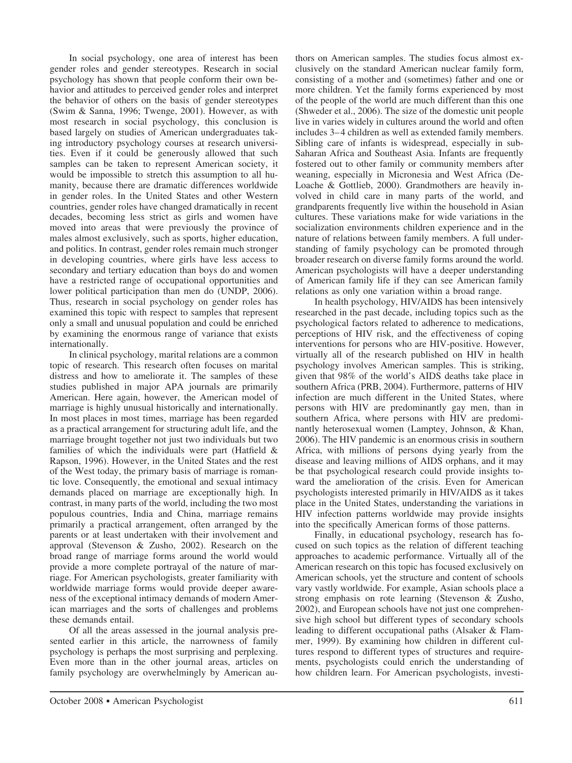In social psychology, one area of interest has been gender roles and gender stereotypes. Research in social psychology has shown that people conform their own behavior and attitudes to perceived gender roles and interpret the behavior of others on the basis of gender stereotypes (Swim & Sanna, 1996; Twenge, 2001). However, as with most research in social psychology, this conclusion is based largely on studies of American undergraduates taking introductory psychology courses at research universities. Even if it could be generously allowed that such samples can be taken to represent American society, it would be impossible to stretch this assumption to all humanity, because there are dramatic differences worldwide in gender roles. In the United States and other Western countries, gender roles have changed dramatically in recent decades, becoming less strict as girls and women have moved into areas that were previously the province of males almost exclusively, such as sports, higher education, and politics. In contrast, gender roles remain much stronger in developing countries, where girls have less access to secondary and tertiary education than boys do and women have a restricted range of occupational opportunities and lower political participation than men do (UNDP, 2006). Thus, research in social psychology on gender roles has examined this topic with respect to samples that represent only a small and unusual population and could be enriched by examining the enormous range of variance that exists internationally.

In clinical psychology, marital relations are a common topic of research. This research often focuses on marital distress and how to ameliorate it. The samples of these studies published in major APA journals are primarily American. Here again, however, the American model of marriage is highly unusual historically and internationally. In most places in most times, marriage has been regarded as a practical arrangement for structuring adult life, and the marriage brought together not just two individuals but two families of which the individuals were part (Hatfield & Rapson, 1996). However, in the United States and the rest of the West today, the primary basis of marriage is romantic love. Consequently, the emotional and sexual intimacy demands placed on marriage are exceptionally high. In contrast, in many parts of the world, including the two most populous countries, India and China, marriage remains primarily a practical arrangement, often arranged by the parents or at least undertaken with their involvement and approval (Stevenson & Zusho, 2002). Research on the broad range of marriage forms around the world would provide a more complete portrayal of the nature of marriage. For American psychologists, greater familiarity with worldwide marriage forms would provide deeper awareness of the exceptional intimacy demands of modern American marriages and the sorts of challenges and problems these demands entail.

Of all the areas assessed in the journal analysis presented earlier in this article, the narrowness of family psychology is perhaps the most surprising and perplexing. Even more than in the other journal areas, articles on family psychology are overwhelmingly by American authors on American samples. The studies focus almost exclusively on the standard American nuclear family form, consisting of a mother and (sometimes) father and one or more children. Yet the family forms experienced by most of the people of the world are much different than this one (Shweder et al., 2006). The size of the domestic unit people live in varies widely in cultures around the world and often includes 3– 4 children as well as extended family members. Sibling care of infants is widespread, especially in sub-Saharan Africa and Southeast Asia. Infants are frequently fostered out to other family or community members after weaning, especially in Micronesia and West Africa (De-Loache & Gottlieb, 2000). Grandmothers are heavily involved in child care in many parts of the world, and grandparents frequently live within the household in Asian cultures. These variations make for wide variations in the socialization environments children experience and in the nature of relations between family members. A full understanding of family psychology can be promoted through broader research on diverse family forms around the world. American psychologists will have a deeper understanding of American family life if they can see American family relations as only one variation within a broad range.

In health psychology, HIV/AIDS has been intensively researched in the past decade, including topics such as the psychological factors related to adherence to medications, perceptions of HIV risk, and the effectiveness of coping interventions for persons who are HIV-positive. However, virtually all of the research published on HIV in health psychology involves American samples. This is striking, given that 98% of the world's AIDS deaths take place in southern Africa (PRB, 2004). Furthermore, patterns of HIV infection are much different in the United States, where persons with HIV are predominantly gay men, than in southern Africa, where persons with HIV are predominantly heterosexual women (Lamptey, Johnson, & Khan, 2006). The HIV pandemic is an enormous crisis in southern Africa, with millions of persons dying yearly from the disease and leaving millions of AIDS orphans, and it may be that psychological research could provide insights toward the amelioration of the crisis. Even for American psychologists interested primarily in HIV/AIDS as it takes place in the United States, understanding the variations in HIV infection patterns worldwide may provide insights into the specifically American forms of those patterns.

Finally, in educational psychology, research has focused on such topics as the relation of different teaching approaches to academic performance. Virtually all of the American research on this topic has focused exclusively on American schools, yet the structure and content of schools vary vastly worldwide. For example, Asian schools place a strong emphasis on rote learning (Stevenson & Zusho, 2002), and European schools have not just one comprehensive high school but different types of secondary schools leading to different occupational paths (Alsaker & Flammer, 1999). By examining how children in different cultures respond to different types of structures and requirements, psychologists could enrich the understanding of how children learn. For American psychologists, investi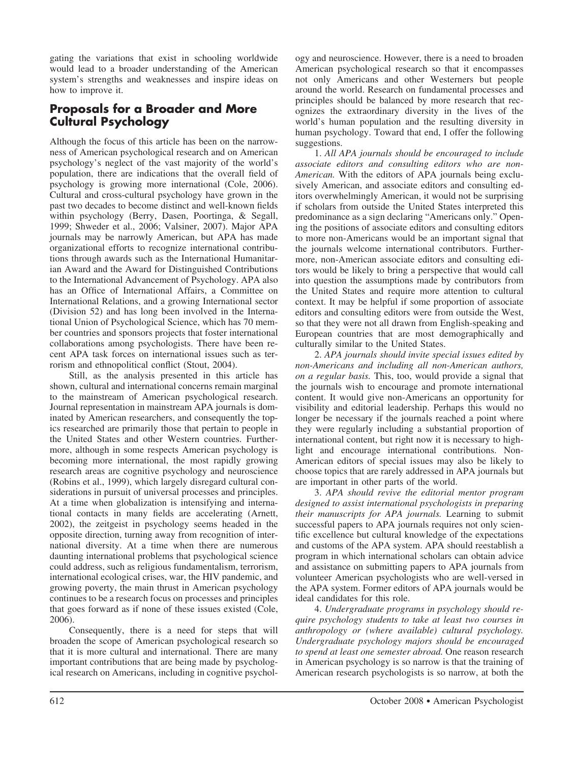gating the variations that exist in schooling worldwide would lead to a broader understanding of the American system's strengths and weaknesses and inspire ideas on how to improve it.

# **Proposals for a Broader and More Cultural Psychology**

Although the focus of this article has been on the narrowness of American psychological research and on American psychology's neglect of the vast majority of the world's population, there are indications that the overall field of psychology is growing more international (Cole, 2006). Cultural and cross-cultural psychology have grown in the past two decades to become distinct and well-known fields within psychology (Berry, Dasen, Poortinga, & Segall, 1999; Shweder et al., 2006; Valsiner, 2007). Major APA journals may be narrowly American, but APA has made organizational efforts to recognize international contributions through awards such as the International Humanitarian Award and the Award for Distinguished Contributions to the International Advancement of Psychology. APA also has an Office of International Affairs, a Committee on International Relations, and a growing International sector (Division 52) and has long been involved in the International Union of Psychological Science, which has 70 member countries and sponsors projects that foster international collaborations among psychologists. There have been recent APA task forces on international issues such as terrorism and ethnopolitical conflict (Stout, 2004).

Still, as the analysis presented in this article has shown, cultural and international concerns remain marginal to the mainstream of American psychological research. Journal representation in mainstream APA journals is dominated by American researchers, and consequently the topics researched are primarily those that pertain to people in the United States and other Western countries. Furthermore, although in some respects American psychology is becoming more international, the most rapidly growing research areas are cognitive psychology and neuroscience (Robins et al., 1999), which largely disregard cultural considerations in pursuit of universal processes and principles. At a time when globalization is intensifying and international contacts in many fields are accelerating (Arnett, 2002), the zeitgeist in psychology seems headed in the opposite direction, turning away from recognition of international diversity. At a time when there are numerous daunting international problems that psychological science could address, such as religious fundamentalism, terrorism, international ecological crises, war, the HIV pandemic, and growing poverty, the main thrust in American psychology continues to be a research focus on processes and principles that goes forward as if none of these issues existed (Cole, 2006).

Consequently, there is a need for steps that will broaden the scope of American psychological research so that it is more cultural and international. There are many important contributions that are being made by psychological research on Americans, including in cognitive psychology and neuroscience. However, there is a need to broaden American psychological research so that it encompasses not only Americans and other Westerners but people around the world. Research on fundamental processes and principles should be balanced by more research that recognizes the extraordinary diversity in the lives of the world's human population and the resulting diversity in human psychology. Toward that end, I offer the following suggestions.

1. *All APA journals should be encouraged to include associate editors and consulting editors who are non-American.* With the editors of APA journals being exclusively American, and associate editors and consulting editors overwhelmingly American, it would not be surprising if scholars from outside the United States interpreted this predominance as a sign declaring "Americans only." Opening the positions of associate editors and consulting editors to more non-Americans would be an important signal that the journals welcome international contributors. Furthermore, non-American associate editors and consulting editors would be likely to bring a perspective that would call into question the assumptions made by contributors from the United States and require more attention to cultural context. It may be helpful if some proportion of associate editors and consulting editors were from outside the West, so that they were not all drawn from English-speaking and European countries that are most demographically and culturally similar to the United States.

2. *APA journals should invite special issues edited by non-Americans and including all non-American authors, on a regular basis.* This, too, would provide a signal that the journals wish to encourage and promote international content. It would give non-Americans an opportunity for visibility and editorial leadership. Perhaps this would no longer be necessary if the journals reached a point where they were regularly including a substantial proportion of international content, but right now it is necessary to highlight and encourage international contributions. Non-American editors of special issues may also be likely to choose topics that are rarely addressed in APA journals but are important in other parts of the world.

3. *APA should revive the editorial mentor program designed to assist international psychologists in preparing their manuscripts for APA journals.* Learning to submit successful papers to APA journals requires not only scientific excellence but cultural knowledge of the expectations and customs of the APA system. APA should reestablish a program in which international scholars can obtain advice and assistance on submitting papers to APA journals from volunteer American psychologists who are well-versed in the APA system. Former editors of APA journals would be ideal candidates for this role.

4. *Undergraduate programs in psychology should require psychology students to take at least two courses in anthropology or (where available) cultural psychology. Undergraduate psychology majors should be encouraged to spend at least one semester abroad.* One reason research in American psychology is so narrow is that the training of American research psychologists is so narrow, at both the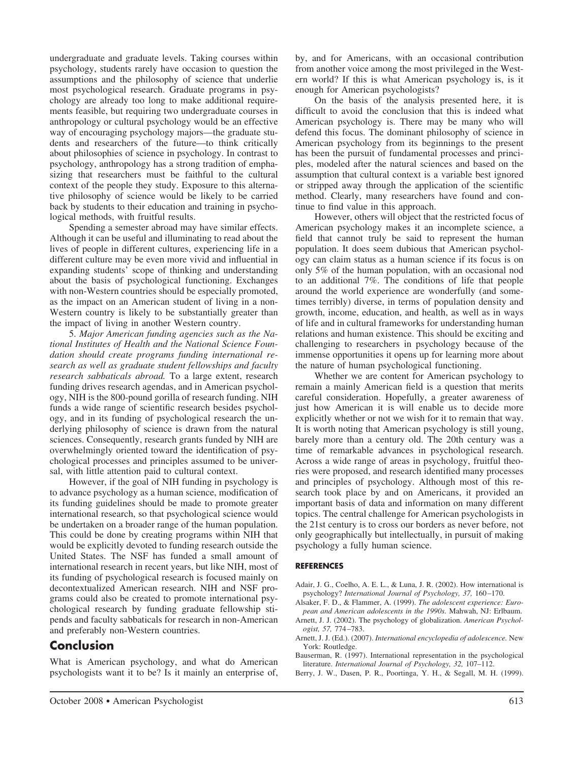undergraduate and graduate levels. Taking courses within psychology, students rarely have occasion to question the assumptions and the philosophy of science that underlie most psychological research. Graduate programs in psychology are already too long to make additional requirements feasible, but requiring two undergraduate courses in anthropology or cultural psychology would be an effective way of encouraging psychology majors—the graduate students and researchers of the future—to think critically about philosophies of science in psychology. In contrast to psychology, anthropology has a strong tradition of emphasizing that researchers must be faithful to the cultural context of the people they study. Exposure to this alternative philosophy of science would be likely to be carried back by students to their education and training in psychological methods, with fruitful results.

Spending a semester abroad may have similar effects. Although it can be useful and illuminating to read about the lives of people in different cultures, experiencing life in a different culture may be even more vivid and influential in expanding students' scope of thinking and understanding about the basis of psychological functioning. Exchanges with non-Western countries should be especially promoted, as the impact on an American student of living in a non-Western country is likely to be substantially greater than the impact of living in another Western country.

5. *Major American funding agencies such as the National Institutes of Health and the National Science Foundation should create programs funding international research as well as graduate student fellowships and faculty research sabbaticals abroad.* To a large extent, research funding drives research agendas, and in American psychology, NIH is the 800-pound gorilla of research funding. NIH funds a wide range of scientific research besides psychology, and in its funding of psychological research the underlying philosophy of science is drawn from the natural sciences. Consequently, research grants funded by NIH are overwhelmingly oriented toward the identification of psychological processes and principles assumed to be universal, with little attention paid to cultural context.

However, if the goal of NIH funding in psychology is to advance psychology as a human science, modification of its funding guidelines should be made to promote greater international research, so that psychological science would be undertaken on a broader range of the human population. This could be done by creating programs within NIH that would be explicitly devoted to funding research outside the United States. The NSF has funded a small amount of international research in recent years, but like NIH, most of its funding of psychological research is focused mainly on decontextualized American research. NIH and NSF programs could also be created to promote international psychological research by funding graduate fellowship stipends and faculty sabbaticals for research in non-American and preferably non-Western countries.

# **Conclusion**

What is American psychology, and what do American psychologists want it to be? Is it mainly an enterprise of, by, and for Americans, with an occasional contribution from another voice among the most privileged in the Western world? If this is what American psychology is, is it enough for American psychologists?

On the basis of the analysis presented here, it is difficult to avoid the conclusion that this is indeed what American psychology is. There may be many who will defend this focus. The dominant philosophy of science in American psychology from its beginnings to the present has been the pursuit of fundamental processes and principles, modeled after the natural sciences and based on the assumption that cultural context is a variable best ignored or stripped away through the application of the scientific method. Clearly, many researchers have found and continue to find value in this approach.

However, others will object that the restricted focus of American psychology makes it an incomplete science, a field that cannot truly be said to represent the human population. It does seem dubious that American psychology can claim status as a human science if its focus is on only 5% of the human population, with an occasional nod to an additional 7%. The conditions of life that people around the world experience are wonderfully (and sometimes terribly) diverse, in terms of population density and growth, income, education, and health, as well as in ways of life and in cultural frameworks for understanding human relations and human existence. This should be exciting and challenging to researchers in psychology because of the immense opportunities it opens up for learning more about the nature of human psychological functioning.

Whether we are content for American psychology to remain a mainly American field is a question that merits careful consideration. Hopefully, a greater awareness of just how American it is will enable us to decide more explicitly whether or not we wish for it to remain that way. It is worth noting that American psychology is still young, barely more than a century old. The 20th century was a time of remarkable advances in psychological research. Across a wide range of areas in psychology, fruitful theories were proposed, and research identified many processes and principles of psychology. Although most of this research took place by and on Americans, it provided an important basis of data and information on many different topics. The central challenge for American psychologists in the 21st century is to cross our borders as never before, not only geographically but intellectually, in pursuit of making psychology a fully human science.

#### **REFERENCES**

- Adair, J. G., Coelho, A. E. L., & Luna, J. R. (2002). How international is psychology? *International Journal of Psychology, 37,* 160 –170.
- Alsaker, F. D., & Flammer, A. (1999). *The adolescent experience: European and American adolescents in the 1990s.* Mahwah, NJ: Erlbaum.
- Arnett, J. J. (2002). The psychology of globalization. *American Psychologist, 57,* 774 –783.
- Arnett, J. J. (Ed.). (2007). *International encyclopedia of adolescence.* New York: Routledge.
- Bauserman, R. (1997). International representation in the psychological literature. *International Journal of Psychology, 32,* 107–112.
- Berry, J. W., Dasen, P. R., Poortinga, Y. H., & Segall, M. H. (1999).